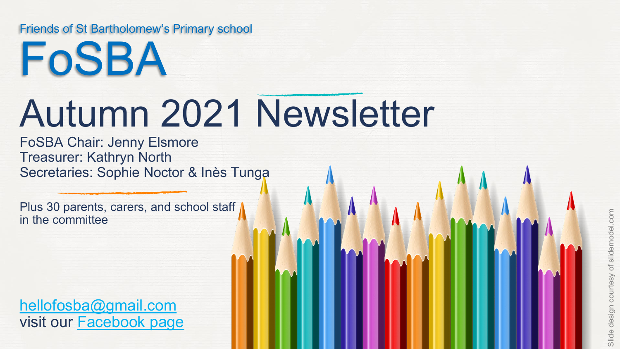#### Friends of St Bartholomew's Primary school

# Autumn 2021 Newsletter FoSBA

FoSBA Chair: Jenny Elsmore Treasurer: Kathryn North Secretaries: Sophie Noctor & Inès Tunga

Plus 30 parents, carers, and school staff in the committee

[hellofosba@gmail.com](mailto:hellofosba@gmail.com)  visit our [Facebook page](https://www.facebook.com/groups/105679369614793)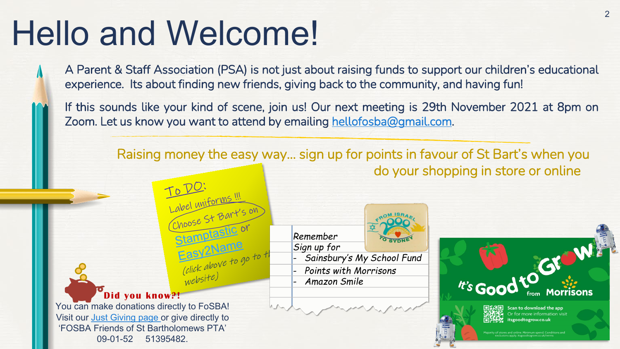# Hello and Welcome!

- A Parent & Staff Association (PSA) is not just about raising funds to support our children's educational experience. Its about finding new friends, giving back to the community, and having fun!
- If this sounds like your kind of scene, join us! Our next meeting is 29th November 2021 at 8pm on Zoom. Let us know you want to attend by emailing [hellofosba@gmail.com](mailto:hellofosba@gmail.com).

Raising money the easy way… sign up for points in favour of St Bart's when you do your shopping in store or online







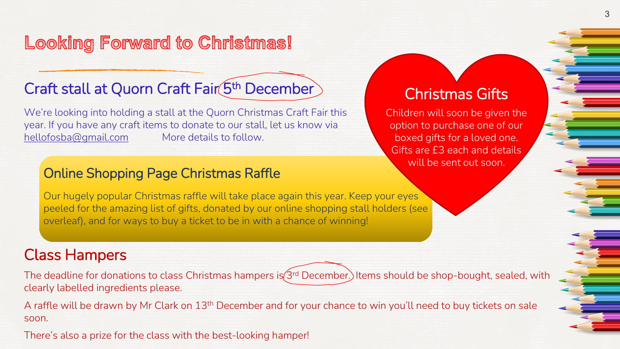# Looking Forward to Christmas!

# Craft stall at Quorn Craft Fair (5th December)

We're looking into holding a stall at the Quorn Christmas Craft Fair this year. If you have any craft items to donate to our stall, let us know via [hellofosba@gmail.com](mailto:hellofosba@gmail.com) More details to follow.

### Christmas Gifts

Children will soon be given the option to purchase one of our boxed gifts for a loved one. Gifts are £3 each and details will be sent out soon.

#### Online Shopping Page Christmas Raffle

Our hugely popular Christmas raffle will take place again this year. Keep your eyes peeled for the amazing list of gifts, donated by our online shopping stall holders (see overleaf), and for ways to buy a ticket to be in with a chance of winning!

## Class Hampers

The deadline for donations to class Christmas hampers is (3rd December.) Items should be shop-bought, sealed, with clearly labelled ingredients please.

A raffle will be drawn by Mr Clark on 13<sup>th</sup> December and for your chance to win you'll need to buy tickets on sale soon.

There's also a prize for the class with the best-looking hamper!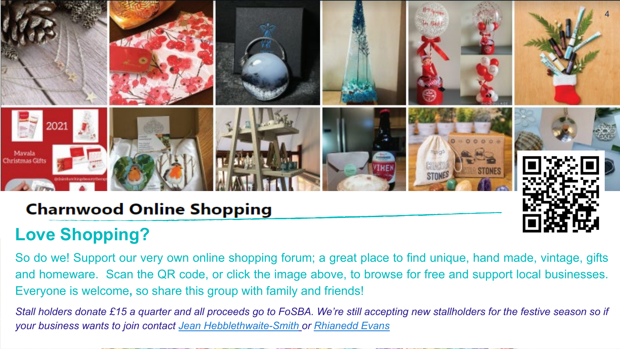

# **Charnwood Online Shopping**

# **Love [Shopping?](https://www.facebook.com/groups/1235880943461817)**

So do we! Support our very own online shopping forum; a great place to find unique, hand made, vintage, gifts and homeware. Scan the QR code, or click the image above, to browse for free and support local businesses. Everyone is welcome**,** so share this group with family and friends!

Stall holders donate £15 a quarter and all proceeds go to FoSBA. We're still accepting new stallholders for the festive season so if *your business wants to join contact Jean [Hebblethwaite-Smith](mailto:jeanhebblethwaite@yahoo.co.uk) or [Rhianedd](mailto:r.evans22@live.com) Evans*